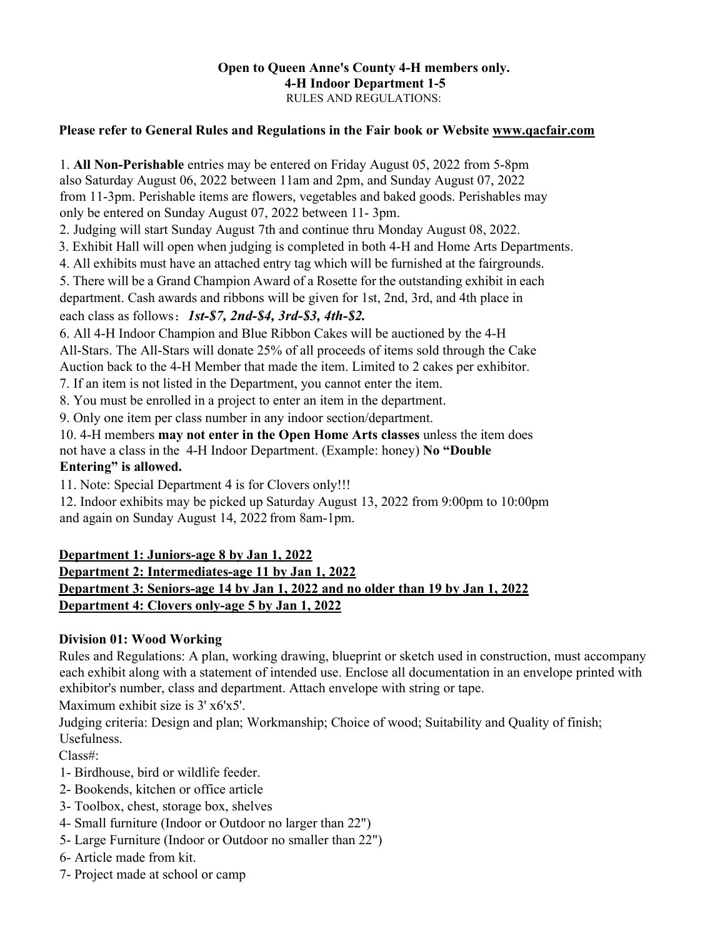#### **Open to Queen Anne's County 4-H members only. 4-H Indoor Department 1-5**  RULES AND REGULATIONS:

### **Please refer to General Rules and Regulations in the Fair book or Website www.qacfair.com**

1. **All Non-Perishable** entries may be entered on Friday August 05, 2022 from 5-8pm also Saturday August 06, 2022 between 11am and 2pm, and Sunday August 07, 2022 from 11-3pm. Perishable items are flowers, vegetables and baked goods. Perishables may only be entered on Sunday August 07, 2022 between 11- 3pm.

2. Judging will start Sunday August 7th and continue thru Monday August 08, 2022.

3. Exhibit Hall will open when judging is completed in both 4-H and Home Arts Departments.

4. All exhibits must have an attached entry tag which will be furnished at the fairgrounds.

5. There will be a Grand Champion Award of a Rosette for the outstanding exhibit in each

department. Cash awards and ribbons will be given for 1st, 2nd, 3rd, and 4th place in each class as follows: *1st-\$7, 2nd-\$4, 3rd-\$3, 4th-\$2.*

6. All 4-H Indoor Champion and Blue Ribbon Cakes will be auctioned by the 4-H All-Stars. The All-Stars will donate 25% of all proceeds of items sold through the Cake Auction back to the 4-H Member that made the item. Limited to 2 cakes per exhibitor.

7. If an item is not listed in the Department, you cannot enter the item.

8. You must be enrolled in a project to enter an item in the department.

9. Only one item per class number in any indoor section/department.

10. 4-H members **may not enter in the Open Home Arts classes** unless the item does

not have a class in the 4-H Indoor Department. (Example: honey) **No "Double** 

### **Entering" is allowed.**

11. Note: Special Department 4 is for Clovers only!!!

12. Indoor exhibits may be picked up Saturday August 13, 2022 from 9:00pm to 10:00pm and again on Sunday August 14, 2022 from 8am-1pm.

## **Department 1: Juniors-age 8 by Jan 1, 2022 Department 2: Intermediates-age 11 by Jan 1, 2022 Department 3: Seniors-age 14 by Jan 1, 2022 and no older than 19 by Jan 1, 2022 Department 4: Clovers only-age 5 by Jan 1, 2022**

## **Division 01: Wood Working**

Rules and Regulations: A plan, working drawing, blueprint or sketch used in construction, must accompany each exhibit along with a statement of intended use. Enclose all documentation in an envelope printed with exhibitor's number, class and department. Attach envelope with string or tape.

Maximum exhibit size is 3' x6'x5'.

Judging criteria: Design and plan; Workmanship; Choice of wood; Suitability and Quality of finish; Usefulness.

Class#:

- 1- Birdhouse, bird or wildlife feeder.
- 2- Bookends, kitchen or office article
- 3- Toolbox, chest, storage box, shelves
- 4- Small furniture (Indoor or Outdoor no larger than 22")
- 5- Large Furniture (Indoor or Outdoor no smaller than 22")
- 6- Article made from kit.
- 7- Project made at school or camp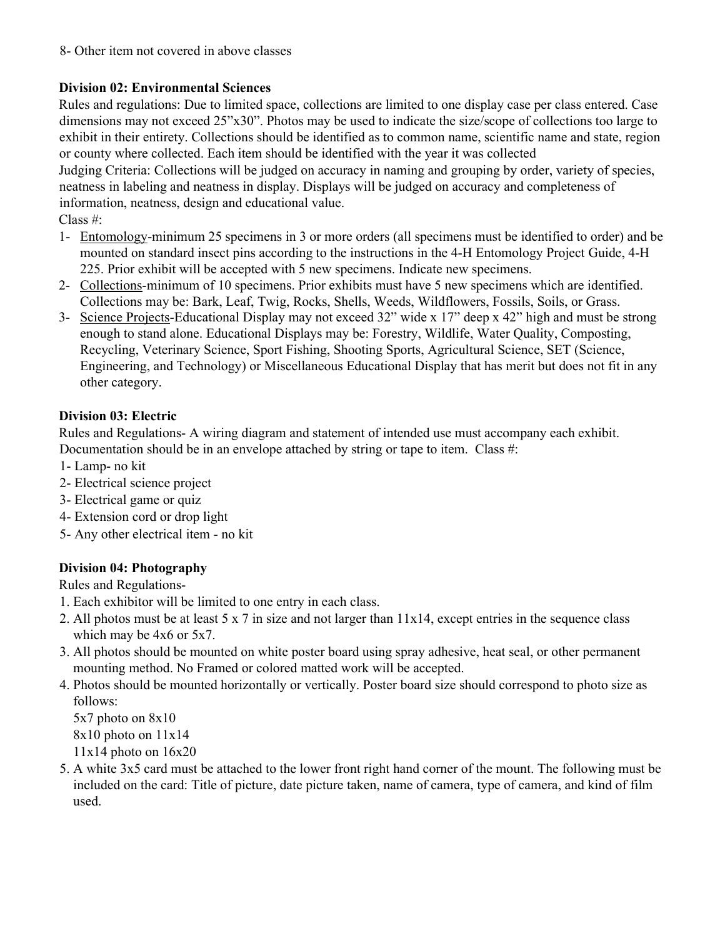8- Other item not covered in above classes

# **Division 02: Environmental Sciences**

Rules and regulations: Due to limited space, collections are limited to one display case per class entered. Case dimensions may not exceed 25"x30". Photos may be used to indicate the size/scope of collections too large to exhibit in their entirety. Collections should be identified as to common name, scientific name and state, region or county where collected. Each item should be identified with the year it was collected

Judging Criteria: Collections will be judged on accuracy in naming and grouping by order, variety of species, neatness in labeling and neatness in display. Displays will be judged on accuracy and completeness of information, neatness, design and educational value.

Class #:

- 1- Entomology-minimum 25 specimens in 3 or more orders (all specimens must be identified to order) and be mounted on standard insect pins according to the instructions in the 4-H Entomology Project Guide, 4-H 225. Prior exhibit will be accepted with 5 new specimens. Indicate new specimens.
- 2- Collections-minimum of 10 specimens. Prior exhibits must have 5 new specimens which are identified. Collections may be: Bark, Leaf, Twig, Rocks, Shells, Weeds, Wildflowers, Fossils, Soils, or Grass.
- 3- Science Projects-Educational Display may not exceed 32" wide x 17" deep x 42" high and must be strong enough to stand alone. Educational Displays may be: Forestry, Wildlife, Water Quality, Composting, Recycling, Veterinary Science, Sport Fishing, Shooting Sports, Agricultural Science, SET (Science, Engineering, and Technology) or Miscellaneous Educational Display that has merit but does not fit in any other category.

## **Division 03: Electric**

Rules and Regulations- A wiring diagram and statement of intended use must accompany each exhibit. Documentation should be in an envelope attached by string or tape to item. Class #:

- 1- Lamp- no kit
- 2- Electrical science project
- 3- Electrical game or quiz
- 4- Extension cord or drop light
- 5- Any other electrical item no kit

# **Division 04: Photography**

Rules and Regulations-

- 1. Each exhibitor will be limited to one entry in each class.
- 2. All photos must be at least 5 x 7 in size and not larger than 11x14, except entries in the sequence class which may be 4x6 or 5x7.
- 3. All photos should be mounted on white poster board using spray adhesive, heat seal, or other permanent mounting method. No Framed or colored matted work will be accepted.
- 4. Photos should be mounted horizontally or vertically. Poster board size should correspond to photo size as follows:

5x7 photo on 8x10 8x10 photo on 11x14 11x14 photo on 16x20

5. A white 3x5 card must be attached to the lower front right hand corner of the mount. The following must be included on the card: Title of picture, date picture taken, name of camera, type of camera, and kind of film used.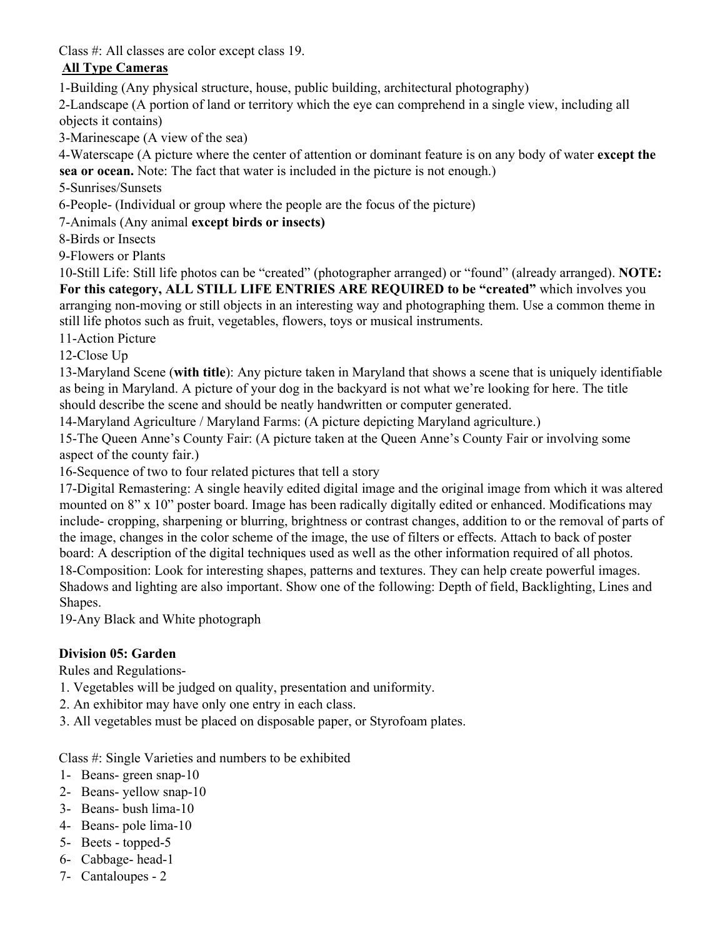Class #: All classes are color except class 19.

# **All Type Cameras**

1-Building (Any physical structure, house, public building, architectural photography)

2-Landscape (A portion of land or territory which the eye can comprehend in a single view, including all objects it contains)

3-Marinescape (A view of the sea)

4-Waterscape (A picture where the center of attention or dominant feature is on any body of water **except the sea or ocean.** Note: The fact that water is included in the picture is not enough.)

5-Sunrises/Sunsets

6-People- (Individual or group where the people are the focus of the picture)

7-Animals (Any animal **except birds or insects)**

8-Birds or Insects

9-Flowers or Plants

10-Still Life: Still life photos can be "created" (photographer arranged) or "found" (already arranged). **NOTE: For this category, ALL STILL LIFE ENTRIES ARE REQUIRED to be "created"** which involves you arranging non-moving or still objects in an interesting way and photographing them. Use a common theme in still life photos such as fruit, vegetables, flowers, toys or musical instruments.

11-Action Picture

12-Close Up

13-Maryland Scene (**with title**): Any picture taken in Maryland that shows a scene that is uniquely identifiable as being in Maryland. A picture of your dog in the backyard is not what we're looking for here. The title should describe the scene and should be neatly handwritten or computer generated.

14-Maryland Agriculture / Maryland Farms: (A picture depicting Maryland agriculture.)

15-The Queen Anne's County Fair: (A picture taken at the Queen Anne's County Fair or involving some aspect of the county fair.)

16-Sequence of two to four related pictures that tell a story

17-Digital Remastering: A single heavily edited digital image and the original image from which it was altered mounted on 8" x 10" poster board. Image has been radically digitally edited or enhanced. Modifications may include- cropping, sharpening or blurring, brightness or contrast changes, addition to or the removal of parts of the image, changes in the color scheme of the image, the use of filters or effects. Attach to back of poster board: A description of the digital techniques used as well as the other information required of all photos. 18-Composition: Look for interesting shapes, patterns and textures. They can help create powerful images. Shadows and lighting are also important. Show one of the following: Depth of field, Backlighting, Lines and Shapes.

19-Any Black and White photograph

# **Division 05: Garden**

Rules and Regulations-

1. Vegetables will be judged on quality, presentation and uniformity.

- 2. An exhibitor may have only one entry in each class.
- 3. All vegetables must be placed on disposable paper, or Styrofoam plates.

Class #: Single Varieties and numbers to be exhibited

- 1- Beans- green snap-10
- 2- Beans- yellow snap-10
- 3- Beans- bush lima-10
- 4- Beans- pole lima-10
- 5- Beets topped-5
- 6- Cabbage- head-1
- 7- Cantaloupes 2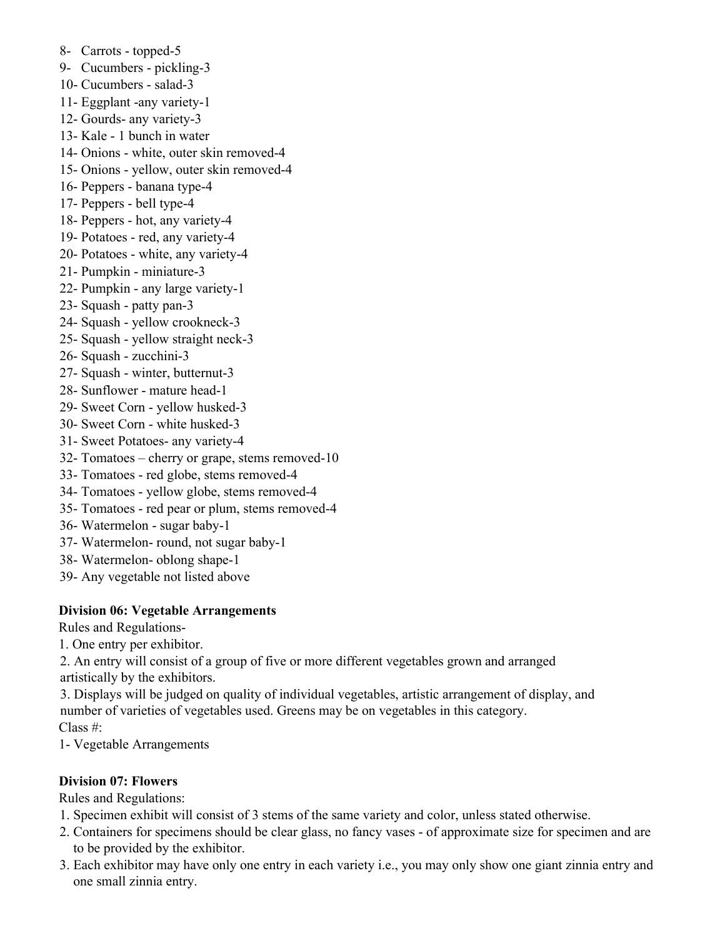- 8- Carrots topped-5
- 9- Cucumbers pickling-3
- 10- Cucumbers salad-3
- 11- Eggplant -any variety-1
- 12- Gourds- any variety-3
- 13- Kale 1 bunch in water
- 14- Onions white, outer skin removed-4
- 15- Onions yellow, outer skin removed-4
- 16- Peppers banana type-4
- 17- Peppers bell type-4
- 18- Peppers hot, any variety-4
- 19- Potatoes red, any variety-4
- 20- Potatoes white, any variety-4
- 21- Pumpkin miniature-3
- 22- Pumpkin any large variety-1
- 23- Squash patty pan-3
- 24- Squash yellow crookneck-3
- 25- Squash yellow straight neck-3
- 26- Squash zucchini-3
- 27- Squash winter, butternut-3
- 28- Sunflower mature head-1
- 29- Sweet Corn yellow husked-3
- 30- Sweet Corn white husked-3
- 31- Sweet Potatoes- any variety-4
- 32- Tomatoes cherry or grape, stems removed-10
- 33- Tomatoes red globe, stems removed-4
- 34- Tomatoes yellow globe, stems removed-4
- 35- Tomatoes red pear or plum, stems removed-4
- 36- Watermelon sugar baby-1
- 37- Watermelon- round, not sugar baby-1
- 38- Watermelon- oblong shape-1
- 39- Any vegetable not listed above

## **Division 06: Vegetable Arrangements**

Rules and Regulations-

1. One entry per exhibitor.

2. An entry will consist of a group of five or more different vegetables grown and arranged artistically by the exhibitors.

3. Displays will be judged on quality of individual vegetables, artistic arrangement of display, and number of varieties of vegetables used. Greens may be on vegetables in this category. Class #:

1- Vegetable Arrangements

## **Division 07: Flowers**

Rules and Regulations:

- 1. Specimen exhibit will consist of 3 stems of the same variety and color, unless stated otherwise.
- 2. Containers for specimens should be clear glass, no fancy vases of approximate size for specimen and are to be provided by the exhibitor.
- 3. Each exhibitor may have only one entry in each variety i.e., you may only show one giant zinnia entry and one small zinnia entry.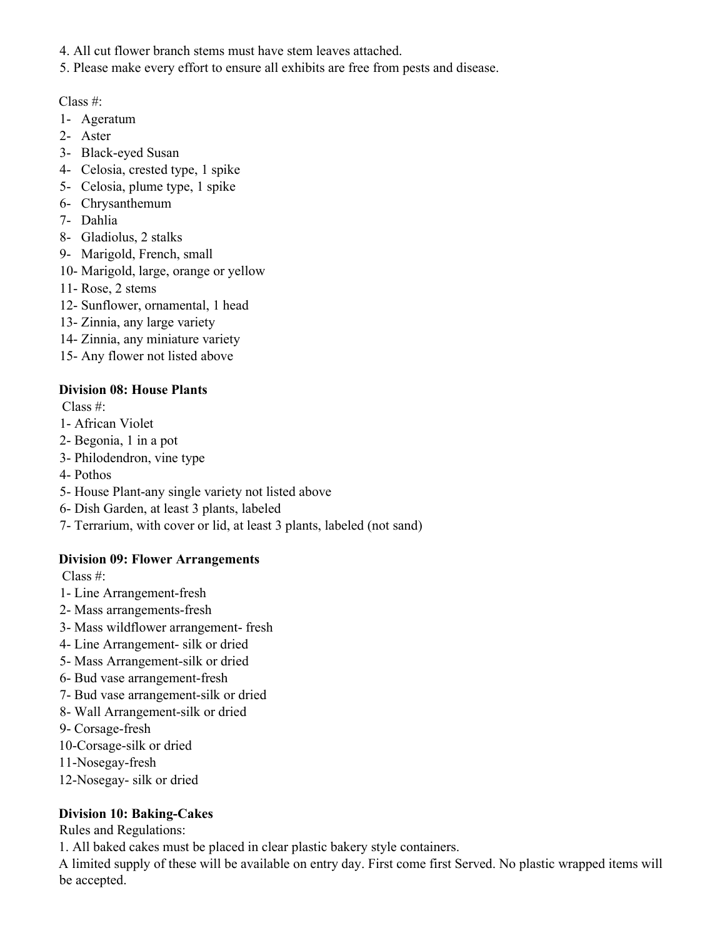- 4. All cut flower branch stems must have stem leaves attached.
- 5. Please make every effort to ensure all exhibits are free from pests and disease.

- 1- Ageratum
- 2- Aster
- 3- Black-eyed Susan
- 4- Celosia, crested type, 1 spike
- 5- Celosia, plume type, 1 spike
- 6- Chrysanthemum
- 7- Dahlia
- 8- Gladiolus, 2 stalks
- 9- Marigold, French, small
- 10- Marigold, large, orange or yellow
- 11- Rose, 2 stems
- 12- Sunflower, ornamental, 1 head
- 13- Zinnia, any large variety
- 14- Zinnia, any miniature variety
- 15- Any flower not listed above

### **Division 08: House Plants**

Class #:

- 1- African Violet
- 2- Begonia, 1 in a pot
- 3- Philodendron, vine type
- 4- Pothos
- 5- House Plant-any single variety not listed above
- 6- Dish Garden, at least 3 plants, labeled
- 7- Terrarium, with cover or lid, at least 3 plants, labeled (not sand)

## **Division 09: Flower Arrangements**

Class #:

- 1- Line Arrangement-fresh
- 2- Mass arrangements-fresh
- 3- Mass wildflower arrangement- fresh
- 4- Line Arrangement- silk or dried
- 5- Mass Arrangement-silk or dried
- 6- Bud vase arrangement-fresh
- 7- Bud vase arrangement-silk or dried
- 8- Wall Arrangement-silk or dried
- 9- Corsage-fresh
- 10-Corsage-silk or dried
- 11-Nosegay-fresh
- 12-Nosegay- silk or dried

## **Division 10: Baking-Cakes**

Rules and Regulations:

1. All baked cakes must be placed in clear plastic bakery style containers.

A limited supply of these will be available on entry day. First come first Served. No plastic wrapped items will be accepted.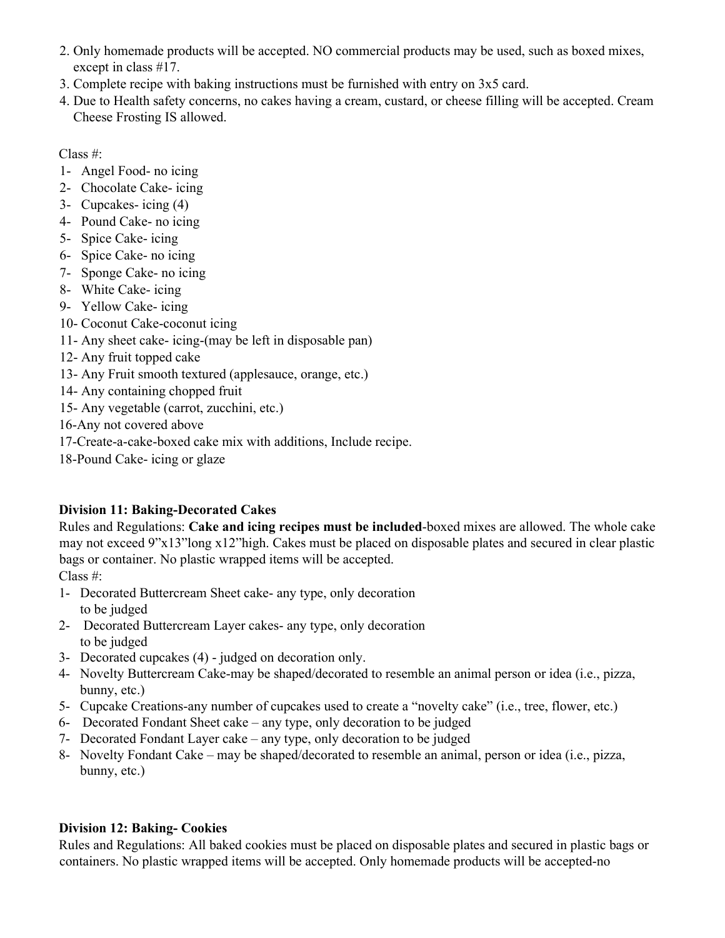- 2. Only homemade products will be accepted. NO commercial products may be used, such as boxed mixes, except in class #17.
- 3. Complete recipe with baking instructions must be furnished with entry on 3x5 card.
- 4. Due to Health safety concerns, no cakes having a cream, custard, or cheese filling will be accepted. Cream Cheese Frosting IS allowed.

- 1- Angel Food- no icing
- 2- Chocolate Cake- icing
- 3- Cupcakes- icing (4)
- 4- Pound Cake- no icing
- 5- Spice Cake- icing
- 6- Spice Cake- no icing
- 7- Sponge Cake- no icing
- 8- White Cake- icing
- 9- Yellow Cake- icing
- 10- Coconut Cake-coconut icing
- 11- Any sheet cake- icing-(may be left in disposable pan)
- 12- Any fruit topped cake
- 13- Any Fruit smooth textured (applesauce, orange, etc.)
- 14- Any containing chopped fruit
- 15- Any vegetable (carrot, zucchini, etc.)
- 16-Any not covered above
- 17-Create-a-cake-boxed cake mix with additions, Include recipe.
- 18-Pound Cake- icing or glaze

# **Division 11: Baking-Decorated Cakes**

Rules and Regulations: **Cake and icing recipes must be included**-boxed mixes are allowed. The whole cake may not exceed 9"x13"long x12"high. Cakes must be placed on disposable plates and secured in clear plastic bags or container. No plastic wrapped items will be accepted.

Class #:

- 1- Decorated Buttercream Sheet cake- any type, only decoration to be judged
- 2- Decorated Buttercream Layer cakes- any type, only decoration to be judged
- 3- Decorated cupcakes (4) judged on decoration only.
- 4- Novelty Buttercream Cake-may be shaped/decorated to resemble an animal person or idea (i.e., pizza, bunny, etc.)
- 5- Cupcake Creations-any number of cupcakes used to create a "novelty cake" (i.e., tree, flower, etc.)
- 6- Decorated Fondant Sheet cake any type, only decoration to be judged
- 7- Decorated Fondant Layer cake any type, only decoration to be judged
- 8- Novelty Fondant Cake may be shaped/decorated to resemble an animal, person or idea (i.e., pizza, bunny, etc.)

# **Division 12: Baking- Cookies**

Rules and Regulations: All baked cookies must be placed on disposable plates and secured in plastic bags or containers. No plastic wrapped items will be accepted. Only homemade products will be accepted-no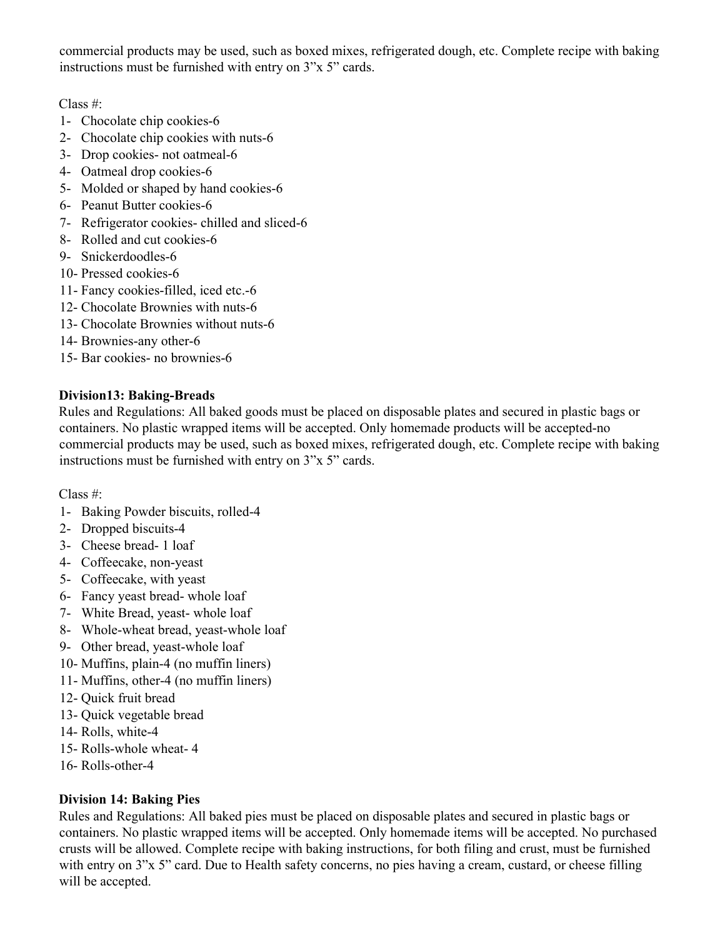commercial products may be used, such as boxed mixes, refrigerated dough, etc. Complete recipe with baking instructions must be furnished with entry on 3"x 5" cards.

Class #:

- 1- Chocolate chip cookies-6
- 2- Chocolate chip cookies with nuts-6
- 3- Drop cookies- not oatmeal-6
- 4- Oatmeal drop cookies-6
- 5- Molded or shaped by hand cookies-6
- 6- Peanut Butter cookies-6
- 7- Refrigerator cookies- chilled and sliced-6
- 8- Rolled and cut cookies-6
- 9- Snickerdoodles-6
- 10- Pressed cookies-6
- 11- Fancy cookies-filled, iced etc.-6
- 12- Chocolate Brownies with nuts-6
- 13- Chocolate Brownies without nuts-6
- 14- Brownies-any other-6
- 15- Bar cookies- no brownies-6

#### **Division13: Baking-Breads**

Rules and Regulations: All baked goods must be placed on disposable plates and secured in plastic bags or containers. No plastic wrapped items will be accepted. Only homemade products will be accepted-no commercial products may be used, such as boxed mixes, refrigerated dough, etc. Complete recipe with baking instructions must be furnished with entry on 3"x 5" cards.

Class #:

- 1- Baking Powder biscuits, rolled-4
- 2- Dropped biscuits-4
- 3- Cheese bread- 1 loaf
- 4- Coffeecake, non-yeast
- 5- Coffeecake, with yeast
- 6- Fancy yeast bread- whole loaf
- 7- White Bread, yeast- whole loaf
- 8- Whole-wheat bread, yeast-whole loaf
- 9- Other bread, yeast-whole loaf
- 10- Muffins, plain-4 (no muffin liners)
- 11- Muffins, other-4 (no muffin liners)
- 12- Quick fruit bread
- 13- Quick vegetable bread
- 14- Rolls, white-4
- 15- Rolls-whole wheat- 4
- 16- Rolls-other-4

## **Division 14: Baking Pies**

Rules and Regulations: All baked pies must be placed on disposable plates and secured in plastic bags or containers. No plastic wrapped items will be accepted. Only homemade items will be accepted. No purchased crusts will be allowed. Complete recipe with baking instructions, for both filing and crust, must be furnished with entry on 3"x 5" card. Due to Health safety concerns, no pies having a cream, custard, or cheese filling will be accepted.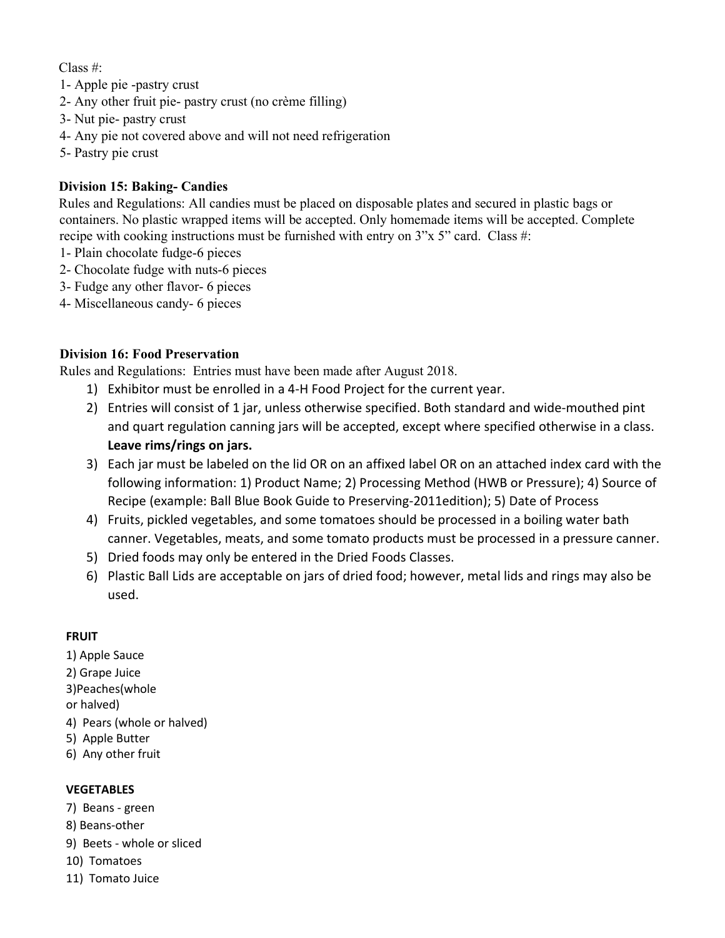- 1- Apple pie -pastry crust
- 2- Any other fruit pie- pastry crust (no crème filling)
- 3- Nut pie- pastry crust
- 4- Any pie not covered above and will not need refrigeration
- 5- Pastry pie crust

## **Division 15: Baking- Candies**

Rules and Regulations: All candies must be placed on disposable plates and secured in plastic bags or containers. No plastic wrapped items will be accepted. Only homemade items will be accepted. Complete recipe with cooking instructions must be furnished with entry on 3"x 5" card. Class #:

- 1- Plain chocolate fudge-6 pieces
- 2- Chocolate fudge with nuts-6 pieces
- 3- Fudge any other flavor- 6 pieces
- 4- Miscellaneous candy- 6 pieces

### **Division 16: Food Preservation**

Rules and Regulations: Entries must have been made after August 2018.

- 1) Exhibitor must be enrolled in a 4-H Food Project for the current year.
- 2) Entries will consist of 1 jar, unless otherwise specified. Both standard and wide-mouthed pint and quart regulation canning jars will be accepted, except where specified otherwise in a class. **Leave rims/rings on jars.**
- 3) Each jar must be labeled on the lid OR on an affixed label OR on an attached index card with the following information: 1) Product Name; 2) Processing Method (HWB or Pressure); 4) Source of Recipe (example: Ball Blue Book Guide to Preserving-2011edition); 5) Date of Process
- 4) Fruits, pickled vegetables, and some tomatoes should be processed in a boiling water bath canner. Vegetables, meats, and some tomato products must be processed in a pressure canner.
- 5) Dried foods may only be entered in the Dried Foods Classes.
- 6) Plastic Ball Lids are acceptable on jars of dried food; however, metal lids and rings may also be used.

#### **FRUIT**

- 1) Apple Sauce
- 2) Grape Juice
- 3)Peaches(whole
- or halved)
- 4) Pears (whole or halved)
- 5) Apple Butter
- 6) Any other fruit

#### **VEGETABLES**

- 7) Beans green
- 8) Beans-other
- 9) Beets whole or sliced
- 10) Tomatoes
- 11) Tomato Juice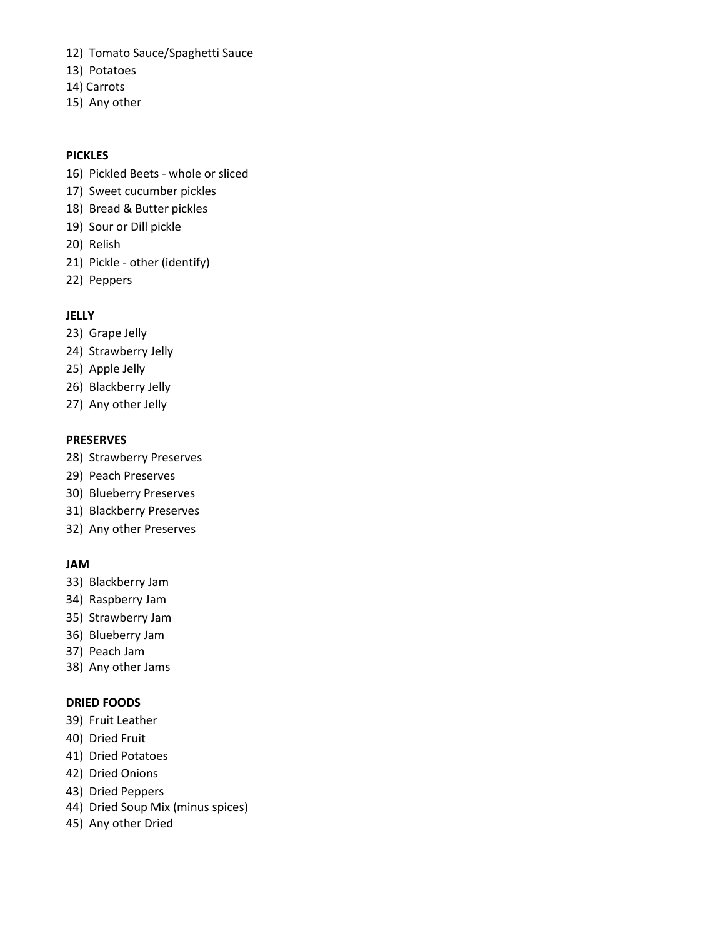- 12) Tomato Sauce/Spaghetti Sauce
- 13) Potatoes
- 14) Carrots
- 15) Any other

#### **PICKLES**

- 16) Pickled Beets whole or sliced
- 17) Sweet cucumber pickles
- 18) Bread & Butter pickles
- 19) Sour or Dill pickle
- 20) Relish
- 21) Pickle other (identify)
- 22) Peppers

#### **JELLY**

- 23) Grape Jelly
- 24) Strawberry Jelly
- 25) Apple Jelly
- 26) Blackberry Jelly
- 27) Any other Jelly

#### **PRESERVES**

- 28) Strawberry Preserves
- 29) Peach Preserves
- 30) Blueberry Preserves
- 31) Blackberry Preserves
- 32) Any other Preserves

#### **JAM**

- 33) Blackberry Jam
- 34) Raspberry Jam
- 35) Strawberry Jam
- 36) Blueberry Jam
- 37) Peach Jam
- 38) Any other Jams

#### **DRIED FOODS**

- 39) Fruit Leather
- 40) Dried Fruit
- 41) Dried Potatoes
- 42) Dried Onions
- 43) Dried Peppers
- 44) Dried Soup Mix (minus spices)
- 45) Any other Dried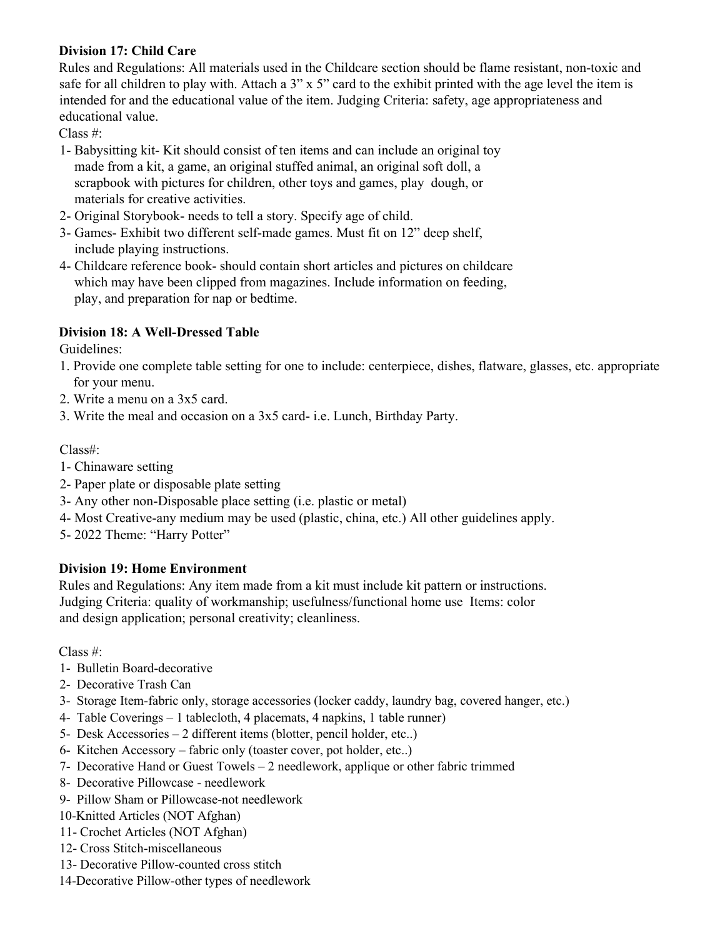## **Division 17: Child Care**

Rules and Regulations: All materials used in the Childcare section should be flame resistant, non-toxic and safe for all children to play with. Attach a 3" x 5" card to the exhibit printed with the age level the item is intended for and the educational value of the item. Judging Criteria: safety, age appropriateness and educational value.

Class #:

- 1- Babysitting kit- Kit should consist of ten items and can include an original toy made from a kit, a game, an original stuffed animal, an original soft doll, a scrapbook with pictures for children, other toys and games, play dough, or materials for creative activities.
- 2- Original Storybook- needs to tell a story. Specify age of child.
- 3- Games- Exhibit two different self-made games. Must fit on 12" deep shelf, include playing instructions.
- 4- Childcare reference book- should contain short articles and pictures on childcare which may have been clipped from magazines. Include information on feeding, play, and preparation for nap or bedtime.

# **Division 18: A Well-Dressed Table**

Guidelines:

- 1. Provide one complete table setting for one to include: centerpiece, dishes, flatware, glasses, etc. appropriate for your menu.
- 2. Write a menu on a 3x5 card.
- 3. Write the meal and occasion on a 3x5 card- i.e. Lunch, Birthday Party.

# Class#:

- 1- Chinaware setting
- 2- Paper plate or disposable plate setting
- 3- Any other non-Disposable place setting (i.e. plastic or metal)
- 4- Most Creative-any medium may be used (plastic, china, etc.) All other guidelines apply.
- 5- 2022 Theme: "Harry Potter"

# **Division 19: Home Environment**

Rules and Regulations: Any item made from a kit must include kit pattern or instructions. Judging Criteria: quality of workmanship; usefulness/functional home use Items: color and design application; personal creativity; cleanliness.

Class #:

- 1- Bulletin Board-decorative
- 2- Decorative Trash Can
- 3- Storage Item-fabric only, storage accessories (locker caddy, laundry bag, covered hanger, etc.)
- 4- Table Coverings 1 tablecloth, 4 placemats, 4 napkins, 1 table runner)
- 5- Desk Accessories 2 different items (blotter, pencil holder, etc..)
- 6- Kitchen Accessory fabric only (toaster cover, pot holder, etc..)
- 7- Decorative Hand or Guest Towels 2 needlework, applique or other fabric trimmed
- 8- Decorative Pillowcase needlework
- 9- Pillow Sham or Pillowcase-not needlework
- 10-Knitted Articles (NOT Afghan)
- 11- Crochet Articles (NOT Afghan)
- 12- Cross Stitch-miscellaneous
- 13- Decorative Pillow-counted cross stitch
- 14-Decorative Pillow-other types of needlework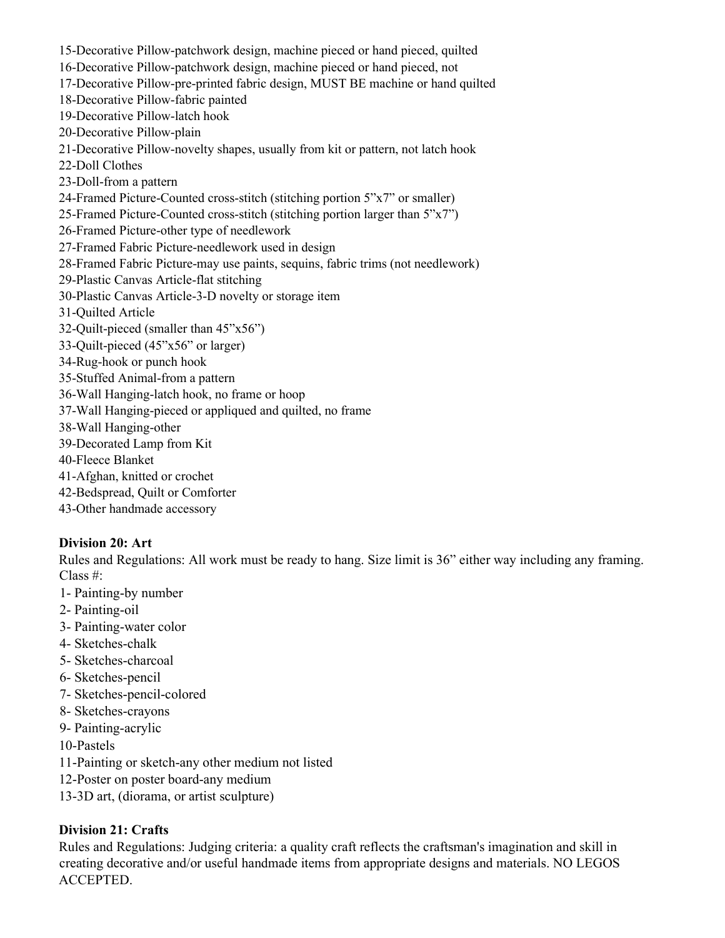- 15-Decorative Pillow-patchwork design, machine pieced or hand pieced, quilted
- 16-Decorative Pillow-patchwork design, machine pieced or hand pieced, not
- 17-Decorative Pillow-pre-printed fabric design, MUST BE machine or hand quilted
- 18-Decorative Pillow-fabric painted
- 19-Decorative Pillow-latch hook
- 20-Decorative Pillow-plain
- 21-Decorative Pillow-novelty shapes, usually from kit or pattern, not latch hook
- 22-Doll Clothes
- 23-Doll-from a pattern
- 24-Framed Picture-Counted cross-stitch (stitching portion 5"x7" or smaller)
- 25-Framed Picture-Counted cross-stitch (stitching portion larger than 5"x7")
- 26-Framed Picture-other type of needlework
- 27-Framed Fabric Picture-needlework used in design
- 28-Framed Fabric Picture-may use paints, sequins, fabric trims (not needlework)
- 29-Plastic Canvas Article-flat stitching
- 30-Plastic Canvas Article-3-D novelty or storage item
- 31-Quilted Article
- 32-Quilt-pieced (smaller than 45"x56")
- 33-Quilt-pieced (45"x56" or larger)
- 34-Rug-hook or punch hook
- 35-Stuffed Animal-from a pattern
- 36-Wall Hanging-latch hook, no frame or hoop
- 37-Wall Hanging-pieced or appliqued and quilted, no frame
- 38-Wall Hanging-other
- 39-Decorated Lamp from Kit
- 40-Fleece Blanket
- 41-Afghan, knitted or crochet
- 42-Bedspread, Quilt or Comforter
- 43-Other handmade accessory

## **Division 20: Art**

Rules and Regulations: All work must be ready to hang. Size limit is 36" either way including any framing. Class #:

- 1- Painting-by number
- 2- Painting-oil
- 3- Painting-water color
- 4- Sketches-chalk
- 5- Sketches-charcoal
- 6- Sketches-pencil
- 7- Sketches-pencil-colored
- 8- Sketches-crayons
- 9- Painting-acrylic
- 10-Pastels
- 11-Painting or sketch-any other medium not listed
- 12-Poster on poster board-any medium
- 13-3D art, (diorama, or artist sculpture)

# **Division 21: Crafts**

Rules and Regulations: Judging criteria: a quality craft reflects the craftsman's imagination and skill in creating decorative and/or useful handmade items from appropriate designs and materials. NO LEGOS ACCEPTED.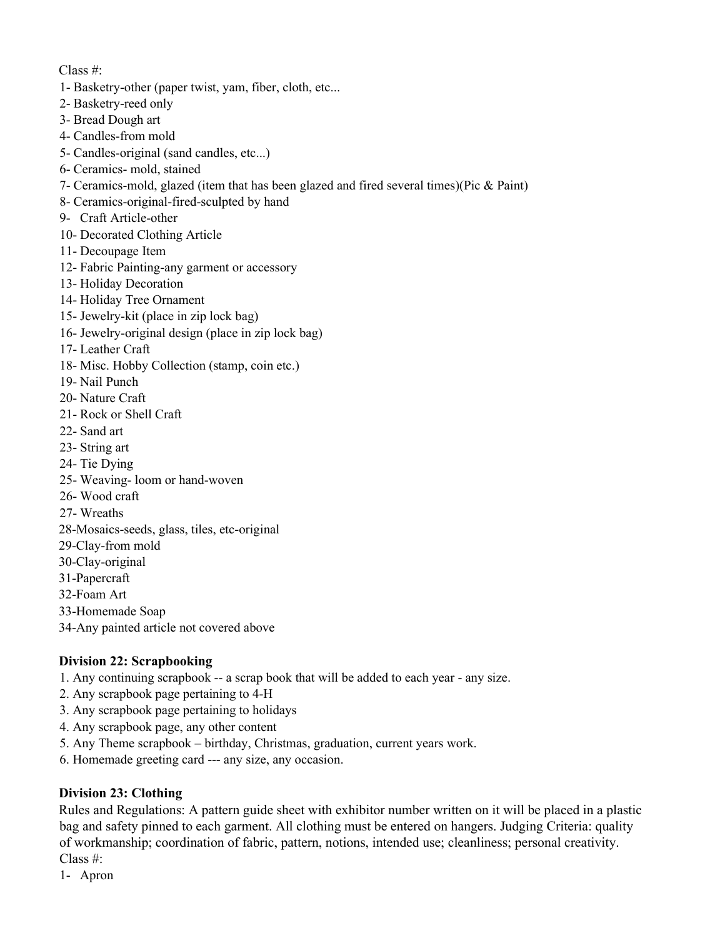- 1- Basketry-other (paper twist, yam, fiber, cloth, etc...
- 2- Basketry-reed only
- 3- Bread Dough art
- 4- Candles-from mold
- 5- Candles-original (sand candles, etc...)
- 6- Ceramics- mold, stained
- 7- Ceramics-mold, glazed (item that has been glazed and fired several times)(Pic & Paint)
- 8- Ceramics-original-fired-sculpted by hand
- 9- Craft Article-other
- 10- Decorated Clothing Article
- 11- Decoupage Item
- 12- Fabric Painting-any garment or accessory
- 13- Holiday Decoration
- 14- Holiday Tree Ornament
- 15- Jewelry-kit (place in zip lock bag)
- 16- Jewelry-original design (place in zip lock bag)
- 17- Leather Craft
- 18- Misc. Hobby Collection (stamp, coin etc.)
- 19- Nail Punch
- 20- Nature Craft
- 21- Rock or Shell Craft
- 22- Sand art
- 23- String art
- 24- Tie Dying
- 25- Weaving- loom or hand-woven
- 26- Wood craft
- 27- Wreaths
- 28-Mosaics-seeds, glass, tiles, etc-original
- 29-Clay-from mold
- 30-Clay-original
- 31-Papercraft
- 32-Foam Art
- 33-Homemade Soap
- 34-Any painted article not covered above

## **Division 22: Scrapbooking**

- 1. Any continuing scrapbook -- a scrap book that will be added to each year any size.
- 2. Any scrapbook page pertaining to 4-H
- 3. Any scrapbook page pertaining to holidays
- 4. Any scrapbook page, any other content
- 5. Any Theme scrapbook birthday, Christmas, graduation, current years work.
- 6. Homemade greeting card --- any size, any occasion.

## **Division 23: Clothing**

Rules and Regulations: A pattern guide sheet with exhibitor number written on it will be placed in a plastic bag and safety pinned to each garment. All clothing must be entered on hangers. Judging Criteria: quality of workmanship; coordination of fabric, pattern, notions, intended use; cleanliness; personal creativity. Class #:

1- Apron